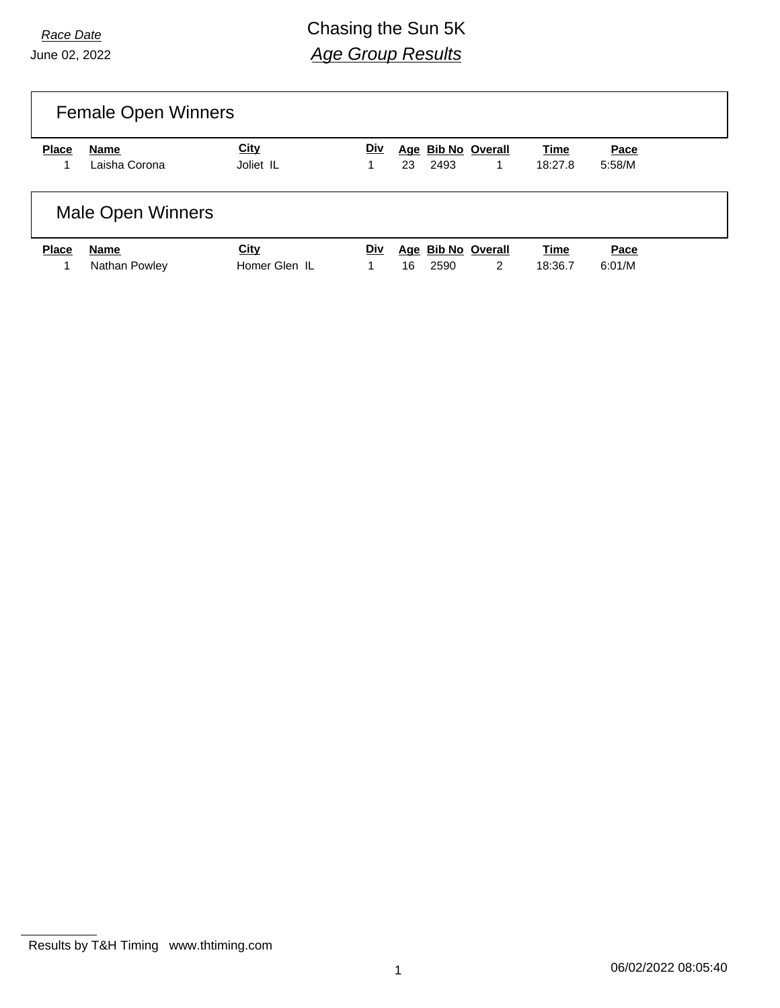# *Race Date* Chasing the Sun 5K *Age Group Results*

| <b>Female Open Winners</b> |                          |                              |     |    |      |                          |                 |                |  |
|----------------------------|--------------------------|------------------------------|-----|----|------|--------------------------|-----------------|----------------|--|
| <b>Place</b>               | Name<br>Laisha Corona    | <b>City</b><br>Joliet IL     | Div | 23 | 2493 | Age Bib No Overall<br>1. | Time<br>18:27.8 | Pace<br>5:58/M |  |
|                            | <b>Male Open Winners</b> |                              |     |    |      |                          |                 |                |  |
| <b>Place</b>               | Name<br>Nathan Powley    | <b>City</b><br>Homer Glen IL | Div | 16 | 2590 | Age Bib No Overall<br>2  | Time<br>18:36.7 | Pace<br>6:01/M |  |

Results by T&H Timing www.thtiming.com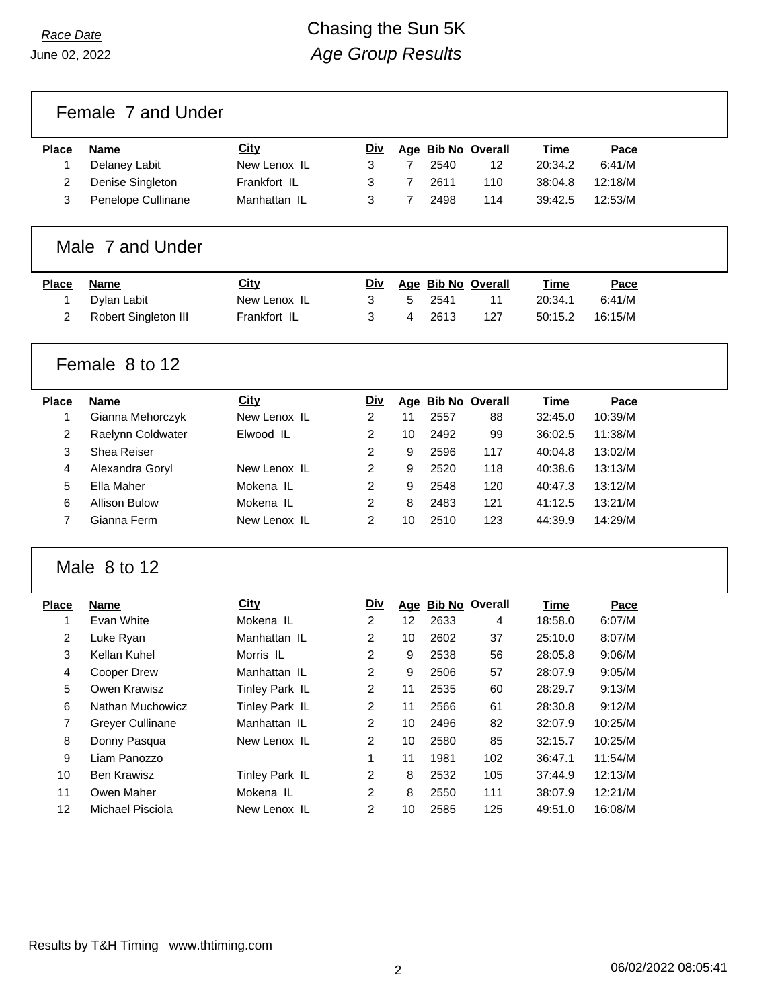### Female 7 and Under

| Place | <b>Name</b>        | <b>City</b>  | Div |      | Age Bib No Overall | <b>Time</b> | Pace    |
|-------|--------------------|--------------|-----|------|--------------------|-------------|---------|
|       | Delaney Labit      | New Lenox IL |     | 2540 | 12                 | 20:34.2     | 6:41/M  |
|       | Denise Singleton   | Frankfort IL | વ   | 2611 | 110                | 38:04.8     | 12:18/M |
|       | Penelope Cullinane | Manhattan IL |     | 2498 | 114                | 39:42.5     | 12:53/M |

### Male 7 and Under

| <u>Place</u> | Name                 | <u>City</u>  |   | Div Age Bib No Overall |     | <b>Time</b> | Pace    |
|--------------|----------------------|--------------|---|------------------------|-----|-------------|---------|
|              | Dylan Labit          | New Lenox IL |   | 5 2541                 |     | 20:34.1     | 6:41/M  |
|              | Robert Singleton III | Frankfort IL | 4 | 2613                   | 127 | 50:15.2     | 16:15/M |

### Female 8 to 12

| Place | Name              | City         | <u>Div</u> |    | Age Bib No Overall |     | <b>Time</b> | Pace    |
|-------|-------------------|--------------|------------|----|--------------------|-----|-------------|---------|
|       | Gianna Mehorczyk  | New Lenox IL | 2          | 11 | 2557               | 88  | 32:45.0     | 10:39/M |
| 2     | Raelynn Coldwater | Elwood IL    | 2          | 10 | 2492               | 99  | 36:02.5     | 11:38/M |
| 3     | Shea Reiser       |              | 2          | 9  | 2596               | 117 | 40:04.8     | 13:02/M |
| 4     | Alexandra Goryl   | New Lenox IL | 2          | 9  | 2520               | 118 | 40:38.6     | 13:13/M |
| 5     | Ella Maher        | Mokena IL    | 2          | 9  | 2548               | 120 | 40:47.3     | 13:12/M |
| 6     | Allison Bulow     | Mokena IL    | 2          | 8  | 2483               | 121 | 41:12.5     | 13:21/M |
|       | Gianna Ferm       | New Lenox IL | 2          | 10 | 2510               | 123 | 44:39.9     | 14:29/M |
|       |                   |              |            |    |                    |     |             |         |

#### Male 8 to 12

| <b>Place</b> | <b>Name</b>        | <b>City</b>    | Div            |    |      | Age Bib No Overall | Time    | Pace    |
|--------------|--------------------|----------------|----------------|----|------|--------------------|---------|---------|
|              | Evan White         | Mokena IL      | 2              | 12 | 2633 | 4                  | 18:58.0 | 6:07/M  |
| 2            | Luke Ryan          | Manhattan IL   | 2              | 10 | 2602 | 37                 | 25:10.0 | 8:07/M  |
| 3            | Kellan Kuhel       | Morris IL      | 2              | 9  | 2538 | 56                 | 28:05.8 | 9:06/M  |
| 4            | Cooper Drew        | Manhattan IL   | $\overline{2}$ | 9  | 2506 | 57                 | 28:07.9 | 9:05/M  |
| 5            | Owen Krawisz       | Tinley Park IL | $\overline{2}$ | 11 | 2535 | 60                 | 28:29.7 | 9:13/M  |
| 6            | Nathan Muchowicz   | Tinley Park IL | 2              | 11 | 2566 | 61                 | 28:30.8 | 9:12/M  |
| 7            | Grever Cullinane   | Manhattan IL   | 2              | 10 | 2496 | 82                 | 32:07.9 | 10:25/M |
| 8            | Donny Pasqua       | New Lenox IL   | 2              | 10 | 2580 | 85                 | 32:15.7 | 10:25/M |
| 9            | Liam Panozzo       |                | 1              | 11 | 1981 | 102                | 36:47.1 | 11:54/M |
| 10           | <b>Ben Krawisz</b> | Tinley Park IL | $\overline{2}$ | 8  | 2532 | 105                | 37:44.9 | 12:13/M |
| 11           | Owen Maher         | Mokena IL      | 2              | 8  | 2550 | 111                | 38:07.9 | 12:21/M |
| 12           | Michael Pisciola   | New Lenox IL   | $\overline{c}$ | 10 | 2585 | 125                | 49:51.0 | 16:08/M |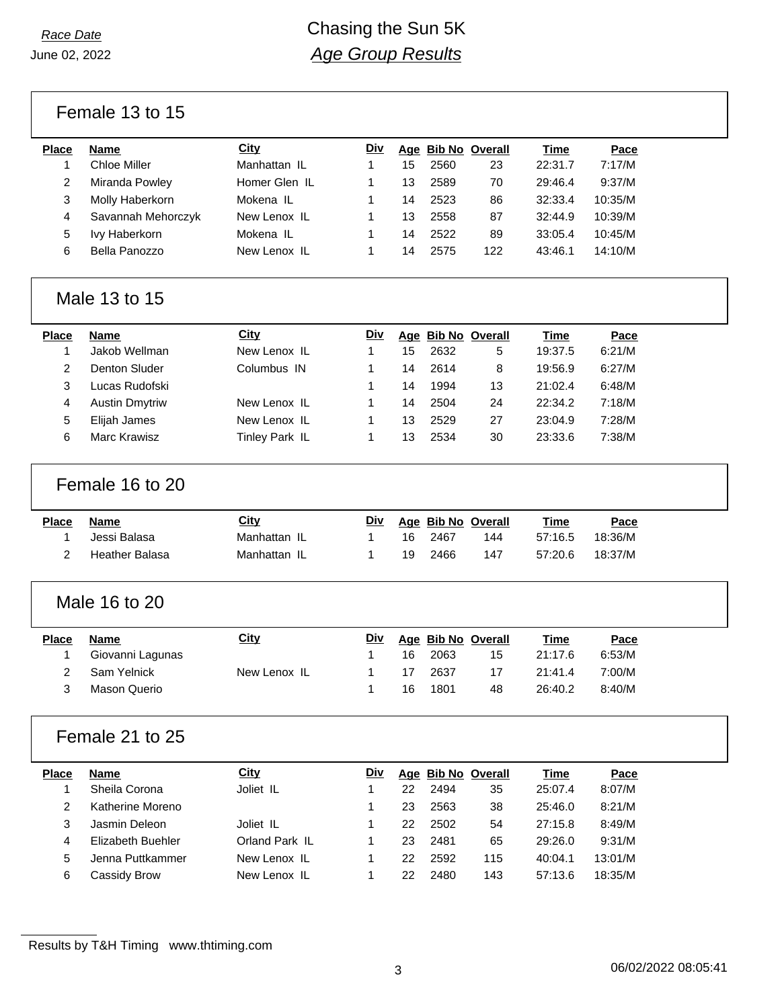Female 13 to 15

| <b>Place</b>   | <b>Name</b>              | City           | <u>Div</u> |    |      | Age Bib No Overall | Time        | Pace    |  |
|----------------|--------------------------|----------------|------------|----|------|--------------------|-------------|---------|--|
| 1              | <b>Chloe Miller</b>      | Manhattan IL   | 1.         | 15 | 2560 | 23                 | 22:31.7     | 7:17/M  |  |
| 2              | Miranda Powley           | Homer Glen IL  | 1          | 13 | 2589 | 70                 | 29:46.4     | 9:37/M  |  |
| 3              | Molly Haberkorn          | Mokena IL      | 1.         | 14 | 2523 | 86                 | 32:33.4     | 10:35/M |  |
| 4              | Savannah Mehorczyk       | New Lenox IL   | 1          | 13 | 2558 | 87                 | 32:44.9     | 10:39/M |  |
| 5              | Ivy Haberkorn            | Mokena IL      | 1          | 14 | 2522 | 89                 | 33:05.4     | 10:45/M |  |
| 6              | Bella Panozzo            | New Lenox IL   | 1          | 14 | 2575 | 122                | 43:46.1     | 14:10/M |  |
|                | Male 13 to 15            |                |            |    |      |                    |             |         |  |
| <b>Place</b>   | <b>Name</b>              | City           | <b>Div</b> |    |      | Age Bib No Overall | <b>Time</b> | Pace    |  |
| 1              | Jakob Wellman            | New Lenox IL   | 1.         | 15 | 2632 | 5                  | 19:37.5     | 6:21/M  |  |
| $\overline{a}$ | <b>Denton Sluder</b>     | Columbus IN    | 1.         | 14 | 2614 | 8                  | 19:56.9     | 6:27/M  |  |
| 3              | Lucas Rudofski           |                | 1          | 14 | 1994 | 13                 | 21:02.4     | 6:48/M  |  |
| 4              | <b>Austin Dmytriw</b>    | New Lenox IL   | 1          | 14 | 2504 | 24                 | 22:34.2     | 7:18/M  |  |
| 5              | Elijah James             | New Lenox IL   | 1          | 13 | 2529 | 27                 | 23:04.9     | 7:28/M  |  |
| 6              | Marc Krawisz             | Tinley Park IL | 1          | 13 | 2534 | 30                 | 23:33.6     | 7:38/M  |  |
|                | Female 16 to 20          |                |            |    |      |                    |             |         |  |
| <b>Place</b>   | Name                     | <b>City</b>    | <u>Div</u> |    |      | Age Bib No Overall | <b>Time</b> | Pace    |  |
| 1              | Jessi Balasa             | Manhattan IL   | 1          | 16 | 2467 | 144                | 57:16.5     | 18:36/M |  |
| 2              | <b>Heather Balasa</b>    | Manhattan IL   | 1          | 19 | 2466 | 147                | 57:20.6     | 18:37/M |  |
|                | Male 16 to 20            |                |            |    |      |                    |             |         |  |
| <b>Place</b>   | <b>Name</b>              | <b>City</b>    | <b>Div</b> |    |      | Age Bib No Overall | Time        | Pace    |  |
| 1              | Giovanni Lagunas         |                | 1          | 16 | 2063 | 15                 | 21:17.6     | 6:53/M  |  |
| 2              | Sam Yelnick              | New Lenox IL   | 1          | 17 | 2637 | 17                 | 21:41.4     | 7:00/M  |  |
| 3              | <b>Mason Querio</b>      |                | 1          | 16 | 1801 | 48                 | 26:40.2     | 8:40/M  |  |
|                | Female 21 to 25          |                |            |    |      |                    |             |         |  |
| <b>Place</b>   | <b>Name</b>              | <b>City</b>    | <u>Div</u> |    |      | Age Bib No Overall | <b>Time</b> | Pace    |  |
| 1              | Sheila Corona            | Joliet IL      | 1          | 22 | 2494 | 35                 | 25:07.4     | 8:07/M  |  |
| 2              | Katherine Moreno         |                | 1          | 23 | 2563 | 38                 | 25:46.0     | 8:21/M  |  |
| 3              | Jasmin Deleon            | Joliet IL      | 1          | 22 | 2502 | 54                 | 27:15.8     | 8:49/M  |  |
| 4              | <b>Elizabeth Buehler</b> | Orland Park IL | 1          | 23 | 2481 | 65                 | 29:26.0     | 9:31/M  |  |
| 5              | Jenna Puttkammer         | New Lenox IL   | 1          | 22 | 2592 | 115                | 40:04.1     | 13:01/M |  |
| 6              | Cassidy Brow             | New Lenox IL   | 1          | 22 | 2480 | 143                | 57:13.6     | 18:35/M |  |

Results by T&H Timing www.thtiming.com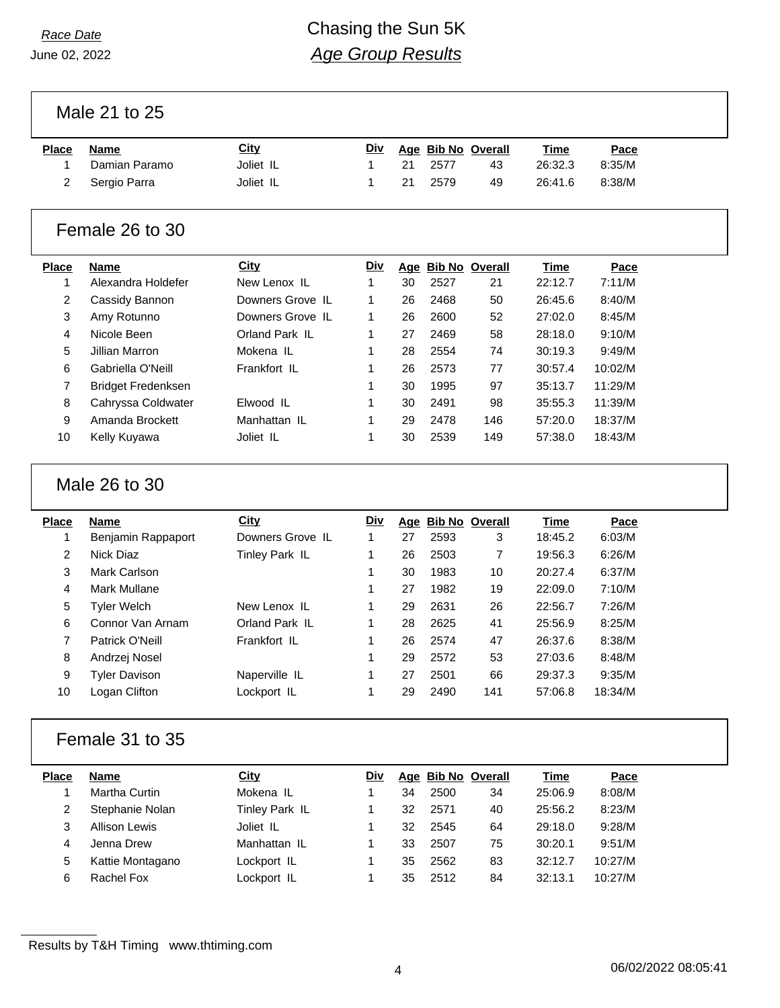# *Race Date* **Chasing the Sun 5K** *Age Group Results*

Male 21 to 25

| Place | Name          | <u>City</u> |  | Div Age Bib No Overall |    | Time    | Pace   |
|-------|---------------|-------------|--|------------------------|----|---------|--------|
|       | Damian Paramo | Joliet IL   |  | 21 2577                | 43 | 26:32.3 | 8:35/M |
|       | Sergio Parra  | Joliet IL   |  | 21 2579                | 49 | 26:41.6 | 8:38/M |

## Female 26 to 30

| <b>Place</b> | <b>Name</b>               | <b>City</b>      | Div |    |      | Age Bib No Overall | Time    | Pace    |
|--------------|---------------------------|------------------|-----|----|------|--------------------|---------|---------|
|              | Alexandra Holdefer        | New Lenox IL     |     | 30 | 2527 | 21                 | 22:12.7 | 7:11/M  |
| 2            | Cassidy Bannon            | Downers Grove IL |     | 26 | 2468 | 50                 | 26:45.6 | 8:40/M  |
| 3            | Amy Rotunno               | Downers Grove IL |     | 26 | 2600 | 52                 | 27:02.0 | 8:45/M  |
| 4            | Nicole Been               | Orland Park IL   |     | 27 | 2469 | 58                 | 28:18.0 | 9:10/M  |
| 5            | Jillian Marron            | Mokena IL        |     | 28 | 2554 | 74                 | 30:19.3 | 9:49/M  |
| 6            | Gabriella O'Neill         | Frankfort II     |     | 26 | 2573 | 77                 | 30:57.4 | 10:02/M |
|              | <b>Bridget Fredenksen</b> |                  |     | 30 | 1995 | 97                 | 35:13.7 | 11:29/M |
| 8            | Cahryssa Coldwater        | Elwood IL        |     | 30 | 2491 | 98                 | 35:55.3 | 11:39/M |
| 9            | Amanda Brockett           | Manhattan IL     |     | 29 | 2478 | 146                | 57:20.0 | 18:37/M |
| 10           | Kelly Kuyawa              | Joliet IL        |     | 30 | 2539 | 149                | 57:38.0 | 18:43/M |

### Male 26 to 30

| <b>Place</b> | <b>Name</b>          | <b>City</b>      | Div |    | Age Bib No Overall |     | Time    | Pace    |
|--------------|----------------------|------------------|-----|----|--------------------|-----|---------|---------|
|              | Benjamin Rappaport   | Downers Grove IL |     | 27 | 2593               | 3   | 18:45.2 | 6:03/M  |
| 2            | Nick Diaz            | Tinley Park IL   |     | 26 | 2503               | 7   | 19:56.3 | 6:26/M  |
| 3            | Mark Carlson         |                  |     | 30 | 1983               | 10  | 20:27.4 | 6:37/M  |
| 4            | Mark Mullane         |                  |     | 27 | 1982               | 19  | 22:09.0 | 7:10/M  |
| 5            | Tyler Welch          | New Lenox IL     |     | 29 | 2631               | 26  | 22:56.7 | 7:26/M  |
| 6            | Connor Van Arnam     | Orland Park IL   | 1   | 28 | 2625               | 41  | 25:56.9 | 8:25/M  |
| 7            | Patrick O'Neill      | Frankfort IL     | 1   | 26 | 2574               | 47  | 26:37.6 | 8:38/M  |
| 8            | Andrzej Nosel        |                  | 1   | 29 | 2572               | 53  | 27:03.6 | 8:48/M  |
| 9            | <b>Tyler Davison</b> | Naperville IL    | 1   | 27 | 2501               | 66  | 29:37.3 | 9:35/M  |
| 10           | Logan Clifton        | Lockport IL      | 1   | 29 | 2490               | 141 | 57:06.8 | 18:34/M |
|              |                      |                  |     |    |                    |     |         |         |

## Female 31 to 35

| Place | Name             | City           | Div |    | Age Bib No Overall |    | Time    | Pace    |
|-------|------------------|----------------|-----|----|--------------------|----|---------|---------|
|       | Martha Curtin    | Mokena IL      |     | 34 | 2500               | 34 | 25:06.9 | 8:08/M  |
|       | Stephanie Nolan  | Tinley Park IL |     | 32 | 2571               | 40 | 25:56.2 | 8:23/M  |
|       | Allison Lewis    | Joliet IL      |     | 32 | 2545               | 64 | 29:18.0 | 9:28/M  |
| 4     | Jenna Drew       | Manhattan IL   |     | 33 | 2507               | 75 | 30:20.1 | 9:51/M  |
| 5     | Kattie Montagano | Lockport IL    |     | 35 | 2562               | 83 | 32:12.7 | 10:27/M |
| 6     | Rachel Fox       | Lockport IL    |     | 35 | 2512               | 84 | 32:13.1 | 10:27/M |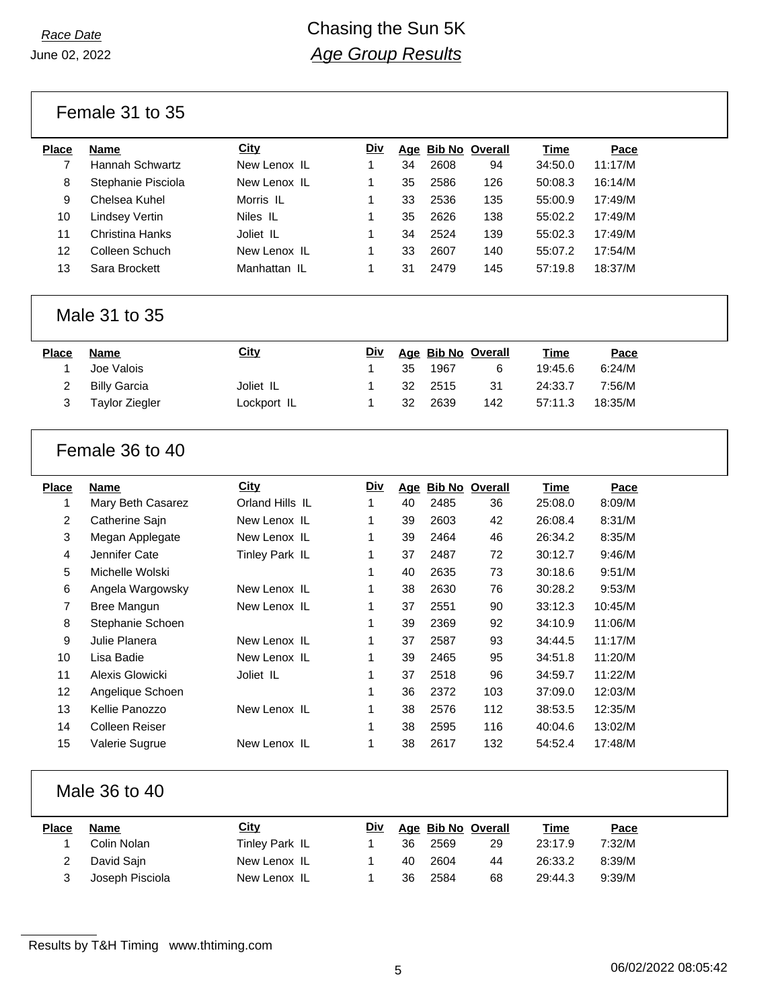Female 31 to 35

| <b>Name</b>        | <b>City</b>  |     |    |      |                    |         |         |
|--------------------|--------------|-----|----|------|--------------------|---------|---------|
|                    |              | Div |    |      | Age Bib No Overall | Time    | Pace    |
| Hannah Schwartz    | New Lenox IL |     | 34 | 2608 | 94                 | 34:50.0 | 11:17/M |
| Stephanie Pisciola | New Lenox II |     | 35 | 2586 | 126                | 50:08.3 | 16:14/M |
| Chelsea Kuhel      | Morris IL    |     | 33 | 2536 | 135                | 55:00.9 | 17:49/M |
| Lindsey Vertin     | Niles IL     |     | 35 | 2626 | 138                | 55:02.2 | 17:49/M |
| Christina Hanks    | Joliet IL    |     | 34 | 2524 | 139                | 55:02.3 | 17:49/M |
| Colleen Schuch     | New Lenox IL |     | 33 | 2607 | 140                | 55:07.2 | 17:54/M |
| Sara Brockett      | Manhattan IL |     | 31 | 2479 | 145                | 57:19.8 | 18:37/M |
|                    |              |     |    |      |                    |         |         |
|                    |              |     |    |      |                    |         |         |

# Male 31 to 35

| <b>Place</b> | Name           | City        | Div |    | Age Bib No Overall |     | <u>Time</u> | Pace    |
|--------------|----------------|-------------|-----|----|--------------------|-----|-------------|---------|
|              | Joe Valois     |             |     | 35 | 1967               | 6   | 19:45.6     | 6:24/M  |
|              | Billy Garcia   | Joliet IL   |     | 32 | 2515               | 31  | 24:33.7     | 7:56/M  |
|              | Taylor Ziegler | Lockport IL |     | 32 | 2639               | 142 | 57:11.3     | 18:35/M |

## Female 36 to 40

| Place | Name                  | City            | Div | <u>Age</u> | <b>Bib No Overall</b> |     | Time    | Pace    |
|-------|-----------------------|-----------------|-----|------------|-----------------------|-----|---------|---------|
| 1     | Mary Beth Casarez     | Orland Hills IL | 1   | 40         | 2485                  | 36  | 25:08.0 | 8:09/M  |
| 2     | Catherine Sain        | New Lenox IL    | 1   | 39         | 2603                  | 42  | 26:08.4 | 8:31/M  |
| 3     | Megan Applegate       | New Lenox IL    | 1   | 39         | 2464                  | 46  | 26:34.2 | 8:35/M  |
| 4     | Jennifer Cate         | Tinley Park IL  | 1   | 37         | 2487                  | 72  | 30:12.7 | 9:46/M  |
| 5     | Michelle Wolski       |                 | 1   | 40         | 2635                  | 73  | 30:18.6 | 9:51/M  |
| 6     | Angela Wargowsky      | New Lenox IL    | 1   | 38         | 2630                  | 76  | 30:28.2 | 9:53/M  |
| 7     | Bree Mangun           | New Lenox IL    | 1   | 37         | 2551                  | 90  | 33:12.3 | 10:45/M |
| 8     | Stephanie Schoen      |                 | 1   | 39         | 2369                  | 92  | 34:10.9 | 11:06/M |
| 9     | Julie Planera         | New Lenox IL    | 1   | 37         | 2587                  | 93  | 34:44.5 | 11:17/M |
| 10    | Lisa Badie            | New Lenox IL    | 1   | 39         | 2465                  | 95  | 34:51.8 | 11:20/M |
| 11    | Alexis Glowicki       | Joliet IL       | 1   | 37         | 2518                  | 96  | 34:59.7 | 11:22/M |
| 12    | Angelique Schoen      |                 | 1   | 36         | 2372                  | 103 | 37:09.0 | 12:03/M |
| 13    | Kellie Panozzo        | New Lenox IL    | 1   | 38         | 2576                  | 112 | 38:53.5 | 12:35/M |
| 14    | <b>Colleen Reiser</b> |                 | 1   | 38         | 2595                  | 116 | 40:04.6 | 13:02/M |
| 15    | <b>Valerie Sugrue</b> | New Lenox IL    | 1   | 38         | 2617                  | 132 | 54:52.4 | 17:48/M |

## Male 36 to 40

| Place | Name            | City           | <b>Div</b> |    | Age Bib No Overall |    | <b>Time</b> | Pace   |
|-------|-----------------|----------------|------------|----|--------------------|----|-------------|--------|
|       | Colin Nolan     | Tinley Park IL |            | 36 | 2569               | 29 | 23:17.9     | 7:32/M |
|       | David Sajn      | New Lenox IL   |            | 40 | 2604               | 44 | 26:33.2     | 8:39/M |
|       | Joseph Pisciola | New Lenox IL   |            | 36 | 2584               | 68 | 29:44.3     | 9:39/M |

Results by T&H Timing www.thtiming.com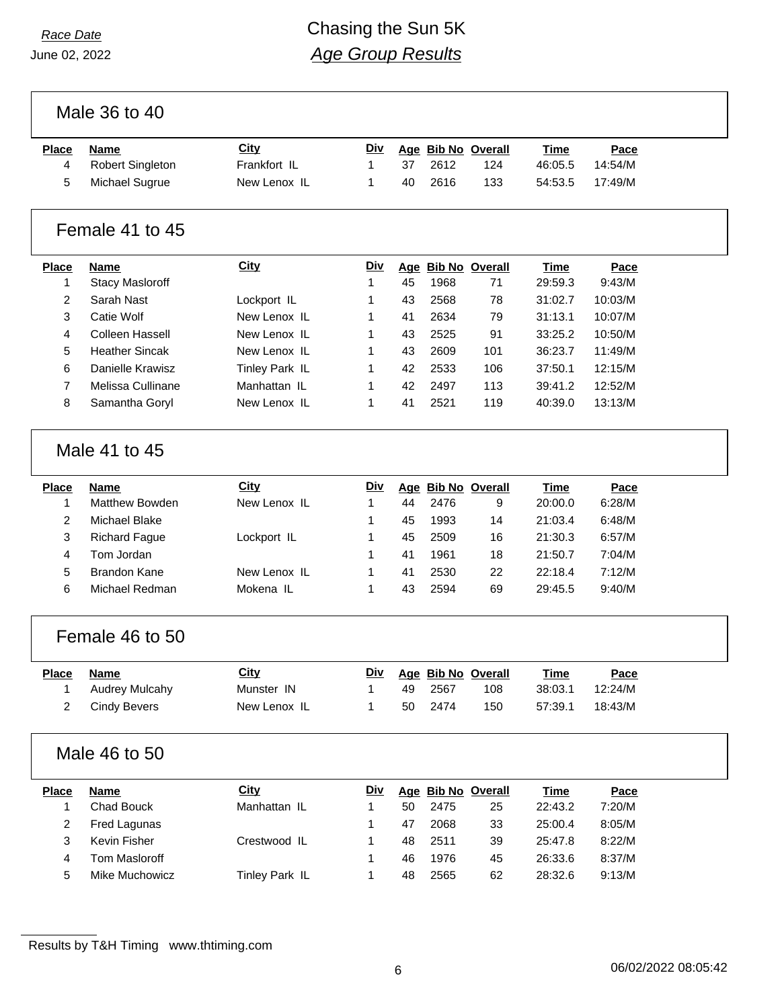# *Race Date* **Chasing the Sun 5K** *Age Group Results*

Male 36 to 40

| Place | Name                    | <u>City</u>  |    | Div Age Bib No Overall |     | Time    | Pace    |
|-------|-------------------------|--------------|----|------------------------|-----|---------|---------|
|       | <b>Robert Singleton</b> | Frankfort IL | 37 | 2612                   | 124 | 46:05.5 | 14:54/M |
|       | Michael Sugrue          | New Lenox IL | 40 | 2616                   | 133 | 54:53.5 | 17:49/M |

### Female 41 to 45

| <b>Place</b> | <b>Name</b>            | <b>City</b>    | <u>Div</u> |    | Age Bib No Overall |     | Time    | Pace    |
|--------------|------------------------|----------------|------------|----|--------------------|-----|---------|---------|
|              | <b>Stacy Masloroff</b> |                |            | 45 | 1968               | 71  | 29:59.3 | 9:43/M  |
| 2            | Sarah Nast             | Lockport IL    |            | 43 | 2568               | 78  | 31:02.7 | 10:03/M |
| 3            | Catie Wolf             | New Lenox II   |            | 41 | 2634               | 79  | 31:13.1 | 10:07/M |
| 4            | Colleen Hassell        | New Lenox IL   |            | 43 | 2525               | 91  | 33:25.2 | 10:50/M |
| 5            | <b>Heather Sincak</b>  | New Lenox IL   |            | 43 | 2609               | 101 | 36:23.7 | 11:49/M |
| 6            | Danielle Krawisz       | Tinley Park IL |            | 42 | 2533               | 106 | 37:50.1 | 12:15/M |
|              | Melissa Cullinane      | Manhattan IL   |            | 42 | 2497               | 113 | 39:41.2 | 12:52/M |
| 8            | Samantha Goryl         | New Lenox IL   |            | 41 | 2521               | 119 | 40:39.0 | 13:13/M |

## Male 41 to 45

| Place | <b>Name</b>          | City         | Div |    | Age Bib No Overall |    | Time    | Pace   |
|-------|----------------------|--------------|-----|----|--------------------|----|---------|--------|
|       | Matthew Bowden       | New Lenox IL |     | 44 | 2476               | 9  | 20:00.0 | 6:28/M |
| 2     | Michael Blake        |              |     | 45 | 1993               | 14 | 21:03.4 | 6:48/M |
| 3     | <b>Richard Fague</b> | Lockport IL  |     | 45 | 2509               | 16 | 21:30.3 | 6:57/M |
| 4     | Tom Jordan           |              |     | 41 | 1961               | 18 | 21:50.7 | 7:04/M |
| 5     | Brandon Kane         | New Lenox IL |     | 41 | 2530               | 22 | 22:18.4 | 7:12/M |
| 6     | Michael Redman       | Mokena II    |     | 43 | 2594               | 69 | 29:45.5 | 9:40/M |

## Female 46 to 50

| Place | Name           | City         |     | Div Age Bib No Overall |     | Time    | Pace    |
|-------|----------------|--------------|-----|------------------------|-----|---------|---------|
|       | Audrey Mulcahy | Munster IN   | 49. | 2567                   | 108 | 38:03.1 | 12:24/M |
|       | Cindy Bevers   | New Lenox IL |     | 50 2474                | 150 | 57:39.1 | 18:43/M |

## Male 46 to 50

| <b>Place</b> | <b>Name</b>    | <u>City</u>    | <u>Div</u> |    | Age Bib No Overall |    | Time    | Pace   |
|--------------|----------------|----------------|------------|----|--------------------|----|---------|--------|
|              | Chad Bouck     | Manhattan IL   |            | 50 | 2475               | 25 | 22:43.2 | 7:20/M |
|              | Fred Lagunas   |                |            | 47 | 2068               | 33 | 25:00.4 | 8:05/M |
|              | Kevin Fisher   | Crestwood IL   |            | 48 | 2511               | 39 | 25:47.8 | 8:22/M |
|              | Tom Masloroff  |                |            | 46 | 1976               | 45 | 26:33.6 | 8:37/M |
| 5            | Mike Muchowicz | Tinley Park IL |            | 48 | 2565               | 62 | 28:32.6 | 9:13/M |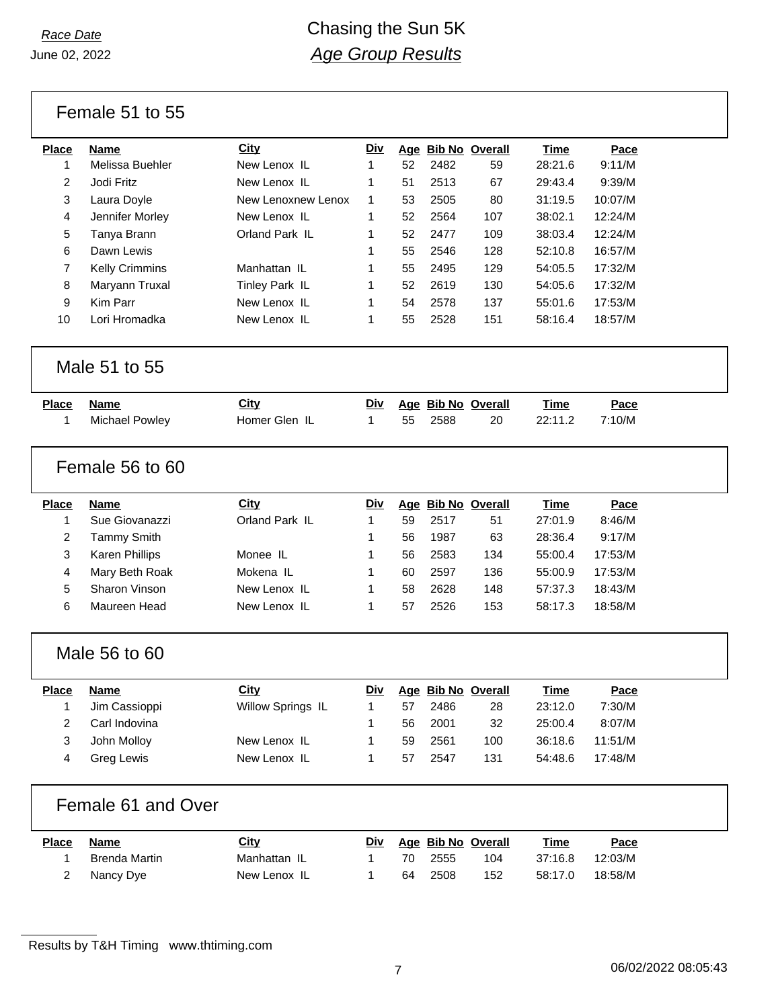Female 51 to 55

| <b>Place</b>   | <b>Name</b>                       | <b>City</b>        | <u>Div</u> |    |      | Age Bib No Overall | <b>Time</b> | Pace    |  |
|----------------|-----------------------------------|--------------------|------------|----|------|--------------------|-------------|---------|--|
| 1              | Melissa Buehler                   | New Lenox IL       | 1          | 52 | 2482 | 59                 | 28:21.6     | 9:11/M  |  |
| $\overline{2}$ | Jodi Fritz                        | New Lenox IL       | 1          | 51 | 2513 | 67                 | 29:43.4     | 9:39/M  |  |
| 3              | Laura Doyle                       | New Lenoxnew Lenox | 1          | 53 | 2505 | 80                 | 31:19.5     | 10:07/M |  |
| 4              | Jennifer Morley                   | New Lenox IL       | 1          | 52 | 2564 | 107                | 38:02.1     | 12:24/M |  |
| 5              | Tanya Brann                       | Orland Park IL     | 1          | 52 | 2477 | 109                | 38:03.4     | 12:24/M |  |
| 6              | Dawn Lewis                        |                    | 1          | 55 | 2546 | 128                | 52:10.8     | 16:57/M |  |
| $\overline{7}$ | Kelly Crimmins                    | Manhattan IL       | 1          | 55 | 2495 | 129                | 54:05.5     | 17:32/M |  |
| 8              | Maryann Truxal                    | Tinley Park IL     | 1          | 52 | 2619 | 130                | 54:05.6     | 17:32/M |  |
| 9              | Kim Parr                          | New Lenox IL       | 1          | 54 | 2578 | 137                | 55:01.6     | 17:53/M |  |
| 10             | Lori Hromadka                     | New Lenox IL       | 1          | 55 | 2528 | 151                | 58:16.4     | 18:57/M |  |
|                | Male 51 to 55                     |                    |            |    |      |                    |             |         |  |
| <b>Place</b>   | <b>Name</b>                       | <b>City</b>        | <u>Div</u> |    |      | Age Bib No Overall | Time        | Pace    |  |
| 1              | Michael Powley                    | Homer Glen IL      | 1          | 55 | 2588 | 20                 | 22:11.2     | 7:10/M  |  |
|                | Female 56 to 60                   |                    |            |    |      |                    |             |         |  |
|                |                                   |                    |            |    |      |                    |             |         |  |
| <b>Place</b>   | <b>Name</b>                       | <b>City</b>        | <u>Div</u> |    |      | Age Bib No Overall | <b>Time</b> | Pace    |  |
| 1              | Sue Giovanazzi                    | Orland Park IL     | 1          | 59 | 2517 | 51                 | 27:01.9     | 8:46/M  |  |
| $\overline{2}$ | <b>Tammy Smith</b>                |                    | 1          | 56 | 1987 | 63                 | 28:36.4     | 9:17/M  |  |
| $\mathbf{3}$   | Karen Phillips                    | Monee IL           | 1          | 56 | 2583 | 134                | 55:00.4     | 17:53/M |  |
| 4              | Mary Beth Roak                    | Mokena IL          | 1          | 60 | 2597 | 136                | 55:00.9     | 17:53/M |  |
| 5              | Sharon Vinson                     | New Lenox IL       | 1          | 58 | 2628 | 148                | 57:37.3     | 18:43/M |  |
| 6              | Maureen Head                      | New Lenox IL       | 1          | 57 | 2526 | 153                | 58:17.3     | 18:58/M |  |
|                | Male 56 to 60                     |                    |            |    |      |                    |             |         |  |
| <b>Place</b>   | <b>Name</b>                       | City               | Div        |    |      | Age Bib No Overall | Time        | Pace    |  |
| 1              | Jim Cassioppi                     | Willow Springs IL  | 1          | 57 | 2486 | 28                 | 23:12.0     | 7:30/M  |  |
| 2              | Carl Indovina                     |                    | 1          | 56 | 2001 | 32                 | 25:00.4     | 8:07/M  |  |
| 3              | John Molloy                       | New Lenox IL       | 1          | 59 | 2561 | 100                | 36:18.6     | 11:51/M |  |
| 4              | Greg Lewis                        | New Lenox IL       | 1          | 57 | 2547 | 131                | 54:48.6     | 17:48/M |  |
| <b>Place</b>   | Female 61 and Over<br><b>Name</b> | <b>City</b>        | <u>Div</u> |    |      | Age Bib No Overall | <b>Time</b> | Pace    |  |

| ıce Name      | <u>City</u>  |    | Div Age Bib No Overall |     | Time    | Pace    |
|---------------|--------------|----|------------------------|-----|---------|---------|
| Brenda Martin | Manhattan IL |    | 70 2555                | 104 | 37:16.8 | 12:03/M |
| 2 Nancy Dye   | New Lenox IL | 64 | 2508                   | 152 | 58:17.0 | 18:58/M |